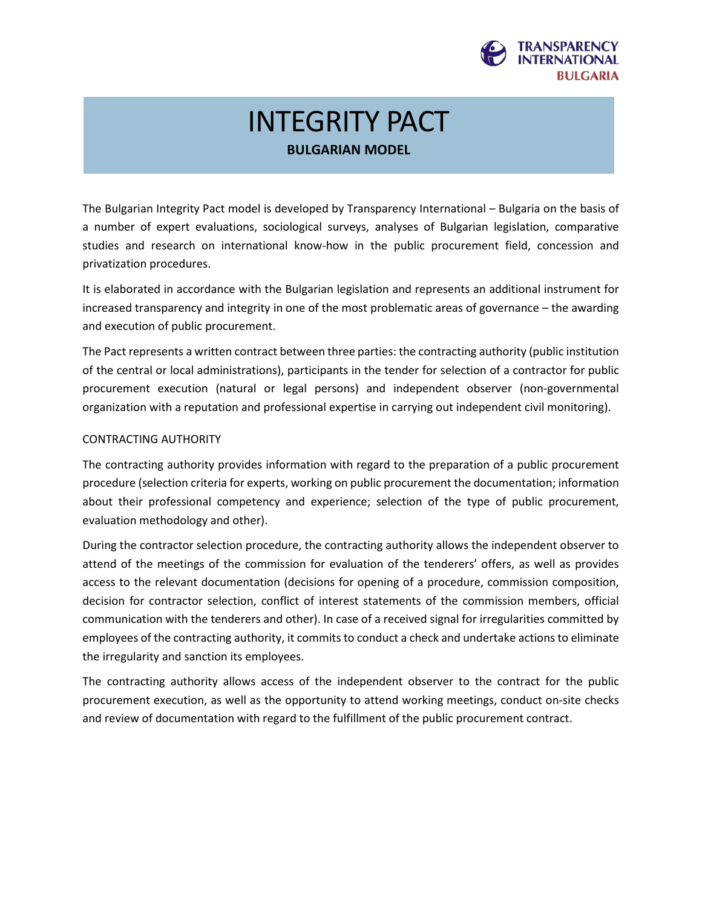

# INTEGRITY PACT **BULGARIAN MODEL**

The Bulgarian Integrity Pact model is developed by Transparency International – Bulgaria on the basis of a number of expert evaluations, sociological surveys, analyses of Bulgarian legislation, comparative studies and research on international know-how in the public procurement field, concession and privatization procedures.

It is elaborated in accordance with the Bulgarian legislation and represents an additional instrument for increased transparency and integrity in one of the most problematic areas of governance – the awarding and execution of public procurement.

The Pact represents a written contract between three parties: the contracting authority (public institution of the central or local administrations), participants in the tender for selection of a contractor for public procurement execution (natural or legal persons) and independent observer (non-governmental organization with a reputation and professional expertise in carrying out independent civil monitoring).

# CONTRACTING AUTHORITY

The contracting authority provides information with regard to the preparation of a public procurement procedure (selection criteria for experts, working on public procurement the documentation; information about their professional competency and experience; selection of the type of public procurement, evaluation methodology and other).

During the contractor selection procedure, the contracting authority allows the independent observer to attend of the meetings of the commission for evaluation of the tenderers' offers, as well as provides access to the relevant documentation (decisions for opening of a procedure, commission composition, decision for contractor selection, conflict of interest statements of the commission members, official communication with the tenderers and other). In case of a received signal for irregularities committed by employees of the contracting authority, it commits to conduct a check and undertake actions to eliminate the irregularity and sanction its employees.

The contracting authority allows access of the independent observer to the contract for the public procurement execution, as well as the opportunity to attend working meetings, conduct on-site checks and review of documentation with regard to the fulfillment of the public procurement contract.